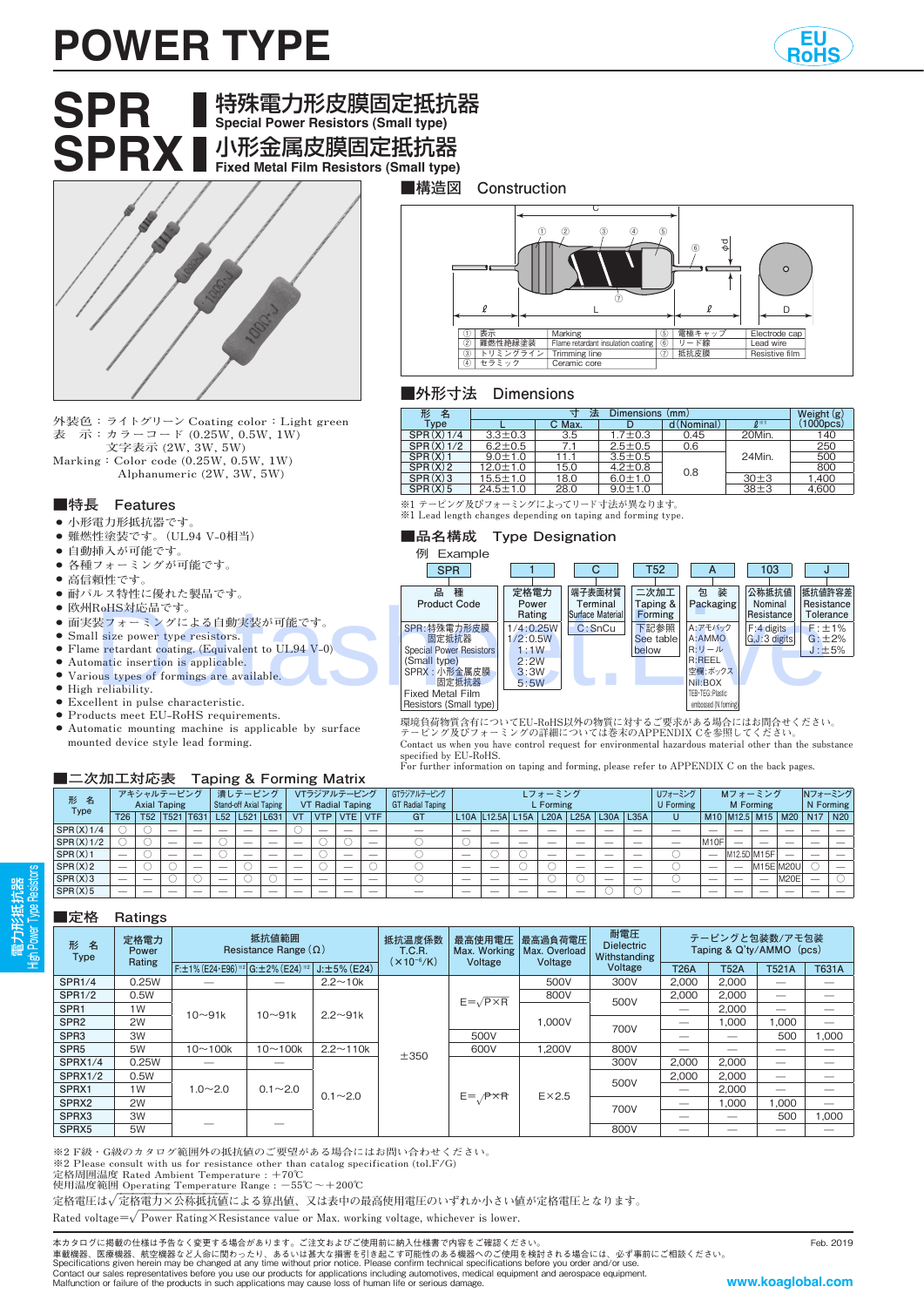## **POWER TYPE**



# **SPR** 特殊電力形皮膜固定抵抗器 **Special Power Resistors (Small type) SPRX** 小形金属皮膜固定抵抗器 **Fixed Metal Film Resistors (Small type)**

**外装色:ライトグリーン Coating color:Light green 表 示:カラーコード (0.25W, 0.5W, 1W) 文字表示 (2W, 3W, 5W)**

**Marking:Color code (0.25W, 0.5W, 1W) Alphanumeric (2W, 3W, 5W)**

#### **■特長 Features**

- 小形電力形抵抗器です
- **● 難燃性塗装です。(UL94 V-0相当)**
- 自動挿入が可能です
- **● 各種フォーミングが可能です。**
- **● 高信頼性です。**
- **● 耐パルス特性に優れた製品です。**
- **● 欧州RoHS対応品です。**
- **● 面実装フォーミングによる自動実装が可能です。**
- **● Small size power type resistors.**
- **● Flame retardant coating. (Equivalent to UL94 V-0)**
- **● Automatic insertion is applicable.**
- **● Various types of formings are available.**
- **● High reliability.**
- **● Excellent in pulse characteristic. ● Products meet EU-RoHS requirements.**
- **● Automatic mounting machine is applicable by surface mounted device style lead forming.**

#### **■二次加工対応表 Taping & Forming Matrix**

| l                        | 3<br>2<br>'A                       | $\circled{5}$ | Φđ<br>$\circled6$ | $\Omega$       |
|--------------------------|------------------------------------|---------------|-------------------|----------------|
| 表示                       | Marking                            | 6             | 電極キャップ            | Electrode cap  |
| 難燃性絶縁塗装<br>$\circled{2}$ | Flame retardant insulation coating | (6)           | リード線              | Lead wire      |
| トリミングライン<br>3            | <b>Trimming line</b>               | 7             | 抵抗皮膜              | Resistive film |
| セラミック<br>T               | Ceramic core                       |               |                   |                |

#### **■外形寸法 Dimensions**

**■構造図 Construction**

| 形<br>名       |                | Weight $(g)$ |               |             |                    |                     |
|--------------|----------------|--------------|---------------|-------------|--------------------|---------------------|
| Type         |                | C Max.       |               | d (Nominal) | $\mathbf{Q}^{m+1}$ | $(1000 \text{pcs})$ |
| $SPR(X)$ 1/4 | $3.3 + 0.3$    | 3.5          | $1.7 + 0.3$   | 0.45        | 20Min.             | 140                 |
| $SPR(X)$ 1/2 | $6.2 + 0.5$    | 71           | $2.5 \pm 0.5$ | 0.6         |                    | 250                 |
| $SPR(X)$ 1   | $9.0 \pm 1.0$  |              | $3.5 \pm 0.5$ |             | 24Min.             | 500                 |
| SPR(X)2      | $12.0 \pm 1.0$ | 15.0         | $4.2 + 0.8$   | 0.8         |                    | 800                 |
| $SPR(X)$ 3   | $15.5 \pm 1.0$ | 18.0         | $6.0 \pm 1.0$ |             | $30 + 3$           | ,400                |
| $SPR(X)$ 5   | $24.5 \pm 1.0$ | 28.0         | $9.0 \pm 1.0$ |             | $38 + 3$           | 4,600               |

**※1 テーピング及びフォーミングによってリード寸法が異なります。 ※1 Lead length changes depending on taping and forming type.**

#### **■品名構成 Type Designation**



環境負荷物質含有についてEU-RoHS以外の物質に対するご要求がある場合にはお問合せください。<br>テーピング及びフォーミングの詳細については巻末のAPPENDIX Cを参照してください。<br>Contact us when you have control request for environmental hazardous material other than the substance<br>Specified by EU-RoHS.

**For further information on taping and forming, please refer to APPENDIX C on the back pages.**

| ~~~~~~~~~~~~~~~   |                     |                          |                          |                          |                          |                   |                          |                          |            |                          |                          |                |                          |                  |                          |                          |                          |           |                          |   |                          |             |           |             |                                                                                                   |  |
|-------------------|---------------------|--------------------------|--------------------------|--------------------------|--------------------------|-------------------|--------------------------|--------------------------|------------|--------------------------|--------------------------|----------------|--------------------------|------------------|--------------------------|--------------------------|--------------------------|-----------|--------------------------|---|--------------------------|-------------|-----------|-------------|---------------------------------------------------------------------------------------------------|--|
|                   | アキシャルテーピング          |                          |                          |                          | 潰しテーピング                  |                   |                          | VTラジアルテーピング              |            |                          | GTラジアルテービング              | <b>Lフォーミング</b> |                          |                  |                          |                          |                          |           | Uフォーミング<br>Mフォーミング       |   |                          |             | Nフォーミング   |             |                                                                                                   |  |
| 形名<br><b>Type</b> | <b>Axial Taping</b> |                          |                          | Stand-off Axial Taping   |                          |                   | <b>VT Radial Taping</b>  |                          |            | <b>GT Radial Taping</b>  | L Forming                |                |                          |                  |                          |                          |                          | U Forming | <b>M</b> Forming         |   |                          |             | N Forming |             |                                                                                                   |  |
|                   | <b>T26</b>          |                          | T52   T521   T631        |                          |                          | L52   L521   L631 |                          | <b>VT</b>                | <b>VTP</b> | <b>VTE VTF</b>           |                          | <b>GT</b>      |                          | L10A L12.5A L15A |                          | L20A L25A L30A           |                          |           | <b>L35A</b>              | U |                          |             |           |             | M <sub>10</sub> M <sub>12.5</sub> M <sub>15</sub> M <sub>20</sub> N <sub>17</sub> N <sub>20</sub> |  |
| $SPR(X)$ 1/4      |                     |                          |                          | $\overline{\phantom{a}}$ |                          | _                 | -                        |                          | -          | $\overline{\phantom{a}}$ |                          |                | $\overline{\phantom{a}}$ |                  |                          |                          |                          |           |                          |   |                          |             |           |             |                                                                                                   |  |
| $SPR(X)$ 1/2      |                     |                          | $\overline{\phantom{a}}$ | $\overline{\phantom{a}}$ |                          | __                | $\overline{\phantom{a}}$ | $-$                      |            |                          | $\overline{\phantom{a}}$ |                |                          | __               | $\overline{\phantom{a}}$ | $\overline{\phantom{a}}$ | __                       |           | $\overline{\phantom{a}}$ |   | M <sub>10</sub> F        |             | __        |             |                                                                                                   |  |
| SPR(X)1           | $-$                 |                          | $\overline{\phantom{a}}$ | $\overline{\phantom{a}}$ |                          | __                | $\overline{\phantom{a}}$ | $\overline{\phantom{a}}$ |            | $\overline{\phantom{a}}$ | $\overline{\phantom{a}}$ |                | $\overline{\phantom{a}}$ |                  |                          | $\overline{\phantom{a}}$ | __                       |           | $\sim$                   |   | $\overline{\phantom{a}}$ | M12.5D M15F |           |             |                                                                                                   |  |
| SPR(X)2           | $-$                 |                          |                          | $\overline{\phantom{a}}$ | $\overline{\phantom{a}}$ |                   | $\overline{\phantom{a}}$ | $\overline{\phantom{a}}$ |            | $\overline{\phantom{a}}$ |                          |                | $\overline{\phantom{a}}$ | __               |                          |                          | $\overline{\phantom{a}}$ | $-$       | $\overline{\phantom{a}}$ |   | $\overline{\phantom{a}}$ |             | M15E M20U |             |                                                                                                   |  |
| SPR(X)3           | __                  | $\overline{\phantom{a}}$ |                          |                          | $\overline{\phantom{a}}$ |                   |                          | $-$                      | __         | $\overline{\phantom{a}}$ | $\overline{\phantom{a}}$ |                | $\overline{\phantom{a}}$ |                  | $\overline{\phantom{a}}$ |                          |                          | __        | $\overline{\phantom{a}}$ |   | $\overline{\phantom{a}}$ |             |           | <b>M20E</b> |                                                                                                   |  |
| SPR(X)5           |                     |                          |                          |                          |                          |                   |                          |                          | __         |                          |                          |                | $\overline{\phantom{a}}$ |                  |                          |                          |                          |           |                          |   |                          |             | __        |             |                                                                                                   |  |

#### **■定格 Ratings**

電力形抵抗器 High Power Type Resistors

| 形名<br><b>Type</b> | 定格電力<br><b>Power</b><br>Rating | 抵抗値範囲<br>Resistance Range $(\Omega)$              |             |                    | 抵抗温度係数<br><b>T.C.R.</b> | 最高使用電圧<br>Max. Working  | 最高過負荷電圧<br>Max. Overload | 耐電圧<br><b>Dielectric</b><br>Withstanding | テーピングと包装数/アモ包装<br>Taping & Q'ty/AMMO (pcs) |             |                   |              |  |  |
|-------------------|--------------------------------|---------------------------------------------------|-------------|--------------------|-------------------------|-------------------------|--------------------------|------------------------------------------|--------------------------------------------|-------------|-------------------|--------------|--|--|
|                   |                                | F: $\pm$ 1% (E24 · E96) **2 G: $\pm$ 2% (E24) **2 |             | $J: \pm 5\%$ (E24) | $(x10^{-6}/K)$          | Voltage                 | Voltage                  | Voltage                                  | <b>T26A</b>                                | <b>T52A</b> | <b>T521A</b>      | <b>T631A</b> |  |  |
| <b>SPR1/4</b>     | 0.25W                          |                                                   |             | $2.2 - 10k$        |                         |                         | 500V                     | 300V                                     | 2.000                                      | 2.000       | —                 |              |  |  |
| <b>SPR1/2</b>     | 0.5W                           |                                                   | $10 - 91k$  | $2.2 - 91k$        |                         | $E = \sqrt{P \times R}$ | 800V                     | 500V                                     | 2.000                                      | 2.000       | $\hspace{0.05cm}$ |              |  |  |
| SPR <sub>1</sub>  | 1W                             | $10 - 91k$                                        |             |                    |                         |                         | 1.000V                   |                                          | $\overline{\phantom{m}}$                   | 2,000       | $-$               |              |  |  |
| SPR <sub>2</sub>  | 2W                             |                                                   |             |                    |                         |                         |                          | 700V                                     |                                            | 1,000       | 1,000             | --           |  |  |
| SPR <sub>3</sub>  | 3W                             |                                                   |             |                    |                         | 500V                    |                          |                                          |                                            |             | 500               | ,000         |  |  |
| SPR <sub>5</sub>  | 5 <sub>W</sub>                 | $10 - 100k$                                       | $10 - 100k$ | $2.2 \sim 110k$    | ±350                    | 600V                    | 1.200V                   | 800V                                     | $\overline{\phantom{a}}$                   |             |                   |              |  |  |
| SPRX1/4           | 0.25W                          |                                                   |             |                    |                         |                         |                          | 300V                                     | 2,000                                      | 2,000       |                   |              |  |  |
| SPRX1/2           | 0.5W                           |                                                   |             |                    |                         |                         |                          | 500V                                     | 2,000                                      | 2.000       | $-$               |              |  |  |
| SPRX1             | 1 <sub>W</sub>                 | $1.0 - 2.0$                                       | $0.1 - 2.0$ | $0.1 - 2.0$        |                         |                         | $E \times 2.5$           |                                          |                                            | 2.000       | —                 | –            |  |  |
| SPRX2             | 2W                             |                                                   |             |                    |                         | $E = P \times R$        |                          | 700V                                     |                                            | 1.000       | 1.000             |              |  |  |
| SPRX3             | 3W                             |                                                   |             |                    |                         |                         |                          |                                          |                                            | —           | 500               | ,000         |  |  |
| SPRX5             | 5W                             |                                                   |             |                    |                         |                         |                          | 800V                                     |                                            |             |                   |              |  |  |

**※2 F級・G級のカタログ範囲外の抵抗値のご要望がある場合にはお問い合わせください。**

**※2 Please consult with us for resistance other than catalog specification (tol.F/G)**

**定格周囲温度 Rated Ambient Temperature : +70℃ 使用温度範囲 Operating Temperature Range : −55℃〜+200℃**

定格電圧は√定格電力×公称抵抗値による算出値、又は表中の最高使用電圧のいずれか小さい値が定格電圧となります。

Rated voltage= $\sqrt{\text{Power} Rating} \times \text{Resistance value or Max. working voltage, whichever is lower.}$